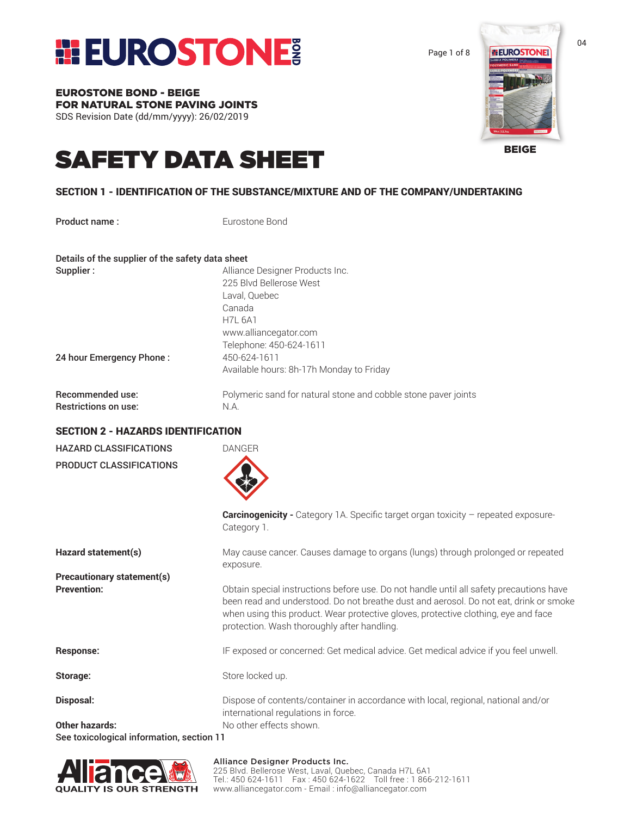

Page 1 of 8

**ELEUROSTONES** 

BEIGE

EUROSTONE BOND - BEIGE FOR NATURAL STONE PAVING JOINTS SDS Revision Date (dd/mm/yyyy): 26/02/2019

### SAFETY DATA SHEET

#### SECTION 1 - IDENTIFICATION OF THE SUBSTANCE/MIXTURE AND OF THE COMPANY/UNDERTAKING

Product name: Eurostone Bond

Details of the supplier of the safety data sheet

| Supplier:                   | Alliance Designer Products Inc.                                |
|-----------------------------|----------------------------------------------------------------|
|                             | 225 Blvd Bellerose West                                        |
|                             | Laval, Quebec                                                  |
|                             | Canada                                                         |
|                             | <b>H7L 6A1</b>                                                 |
|                             | www.alliancegator.com                                          |
|                             | Telephone: 450-624-1611                                        |
| 24 hour Emergency Phone:    | 450-624-1611                                                   |
|                             | Available hours: 8h-17h Monday to Friday                       |
| <b>Recommended use:</b>     | Polymeric sand for natural stone and cobble stone paver joints |
| <b>Restrictions on use:</b> | N.A.                                                           |

#### SECTION 2 - HAZARDS IDENTIFICATION

| <b>HAZARD CLASSIFICATIONS</b>             | <b>DANGER</b>                                                                                                                                                                                                                                                                                                         |
|-------------------------------------------|-----------------------------------------------------------------------------------------------------------------------------------------------------------------------------------------------------------------------------------------------------------------------------------------------------------------------|
| PRODUCT CLASSIFICATIONS                   |                                                                                                                                                                                                                                                                                                                       |
|                                           | <b>Carcinogenicity -</b> Category 1A. Specific target organ toxicity - repeated exposure-<br>Category 1.                                                                                                                                                                                                              |
| Hazard statement(s)                       | May cause cancer. Causes damage to organs (lungs) through prolonged or repeated<br>exposure.                                                                                                                                                                                                                          |
| <b>Precautionary statement(s)</b>         |                                                                                                                                                                                                                                                                                                                       |
| <b>Prevention:</b>                        | Obtain special instructions before use. Do not handle until all safety precautions have<br>been read and understood. Do not breathe dust and aerosol. Do not eat, drink or smoke<br>when using this product. Wear protective gloves, protective clothing, eye and face<br>protection. Wash thoroughly after handling. |
| <b>Response:</b>                          | IF exposed or concerned: Get medical advice. Get medical advice if you feel unwell.                                                                                                                                                                                                                                   |
| Storage:                                  | Store locked up.                                                                                                                                                                                                                                                                                                      |
| Disposal:                                 | Dispose of contents/container in accordance with local, regional, national and/or<br>international regulations in force.                                                                                                                                                                                              |
| <b>Other hazards:</b>                     | No other effects shown.                                                                                                                                                                                                                                                                                               |
| See toxicological information, section 11 |                                                                                                                                                                                                                                                                                                                       |

**QUALITY IS OUR STRENGTH** 

#### Alliance Designer Products Inc.

225 Blvd. Bellerose West, Laval, Quebec, Canada H7L 6A1 Tel.: 450 624-1611 Fax : 450 624-1622 Toll free : 1 866-212-1611 www.alliancegator.com - Email : info@alliancegator.com

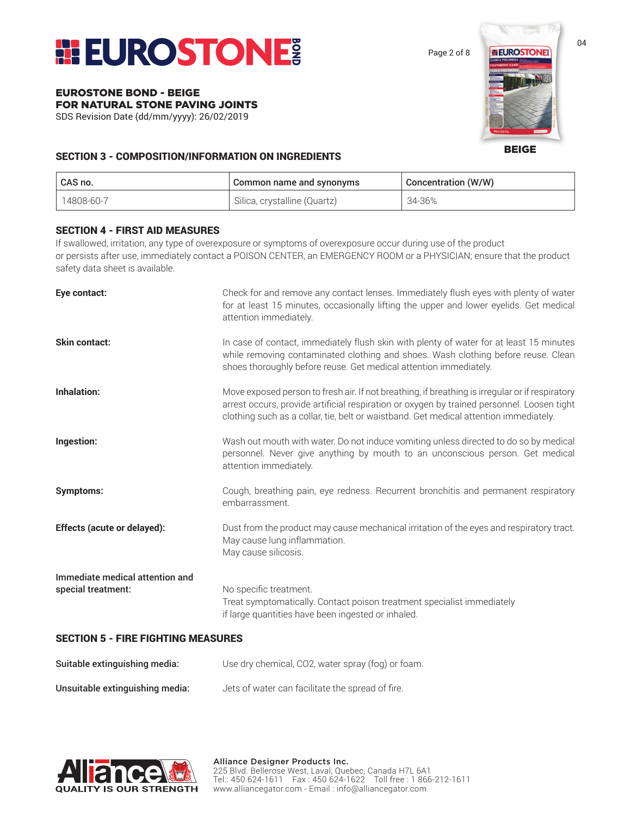

Page 2 of 8

## **ELEUROSTONE**

BEIGE

#### SECTION 3 - COMPOSITION/INFORMATION ON INGREDIENTS

| CAS no.    | Common name and synonyms     | <b>Concentration (W/W)</b> |
|------------|------------------------------|----------------------------|
| 14808-60-7 | Silica, crystalline (Quartz) | 34-36%                     |

#### SECTION 4 - FIRST AID MEASURES

EUROSTONE BOND - BEIGE

FOR NATURAL STONE PAVING JOINTS SDS Revision Date (dd/mm/yyyy): 26/02/2019

If swallowed, irritation, any type of overexposure or symptoms of overexposure occur during use of the product or persists after use, immediately contact a POISON CENTER, an EMERGENCY ROOM or a PHYSICIAN; ensure that the product safety data sheet is available.

| Eye contact:                                          | Check for and remove any contact lenses. Immediately flush eyes with plenty of water<br>for at least 15 minutes, occasionally lifting the upper and lower eyelids. Get medical<br>attention immediately.                                                                               |
|-------------------------------------------------------|----------------------------------------------------------------------------------------------------------------------------------------------------------------------------------------------------------------------------------------------------------------------------------------|
| Skin contact:                                         | In case of contact, immediately flush skin with plenty of water for at least 15 minutes<br>while removing contaminated clothing and shoes. Wash clothing before reuse. Clean<br>shoes thoroughly before reuse. Get medical attention immediately.                                      |
| <b>Inhalation:</b>                                    | Move exposed person to fresh air. If not breathing, if breathing is irregular or if respiratory<br>arrest occurs, provide artificial respiration or oxygen by trained personnel. Loosen tight<br>clothing such as a collar, tie, belt or waistband. Get medical attention immediately. |
| Ingestion:                                            | Wash out mouth with water. Do not induce vomiting unless directed to do so by medical<br>personnel. Never give anything by mouth to an unconscious person. Get medical<br>attention immediately.                                                                                       |
| <b>Symptoms:</b>                                      | Cough, breathing pain, eye redness. Recurrent bronchitis and permanent respiratory<br>embarrassment.                                                                                                                                                                                   |
| Effects (acute or delayed):                           | Dust from the product may cause mechanical irritation of the eyes and respiratory tract.<br>May cause lung inflammation.<br>May cause silicosis.                                                                                                                                       |
| Immediate medical attention and<br>special treatment: | No specific treatment.<br>Treat symptomatically. Contact poison treatment specialist immediately<br>if large quantities have been ingested or inhaled.                                                                                                                                 |

#### SECTION 5 - FIRE FIGHTING MEASURES

| Suitable extinguishing media:   | Use dry chemical, CO2, water spray (fog) or foam. |
|---------------------------------|---------------------------------------------------|
| Unsuitable extinguishing media: | Jets of water can facilitate the spread of fire.  |

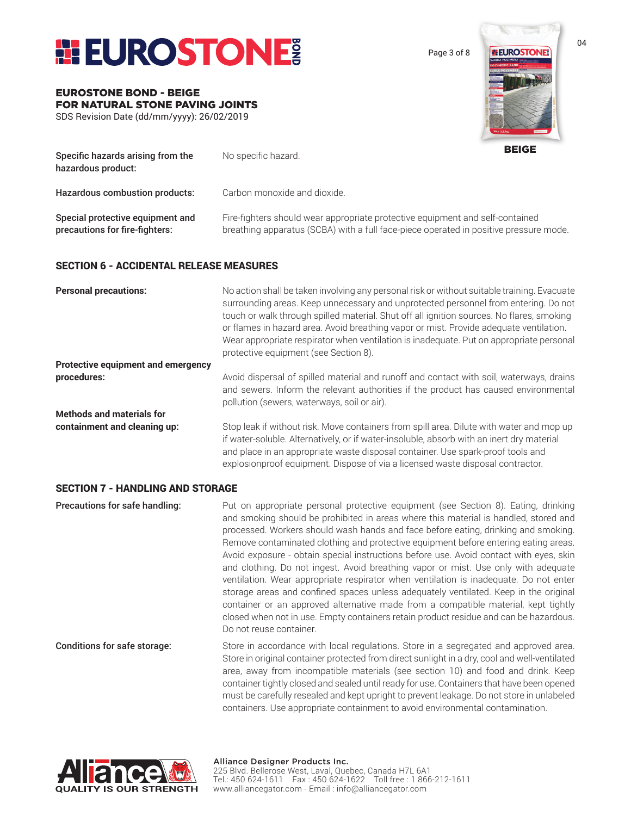

EUROSTONE BOND - BEIGE

FOR NATURAL STONE PAVING JOINTS SDS Revision Date (dd/mm/yyyy): 26/02/2019

Page 3 of 8



BEIGE Specific hazards arising from the No specific hazard. hazardous product: Hazardous combustion products: Carbon monoxide and dioxide. Special protective equipment and Fire-fighters should wear appropriate protective equipment and self-contained **precautions for fire-fighters:** breathing apparatus (SCBA) with a full face-piece operated in positive pressure mode.

#### SECTION 6 - ACCIDENTAL RELEASE MEASURES

| <b>Personal precautions:</b>              | No action shall be taken involving any personal risk or without suitable training. Evacuate<br>surrounding areas. Keep unnecessary and unprotected personnel from entering. Do not<br>touch or walk through spilled material. Shut off all ignition sources. No flares, smoking<br>or flames in hazard area. Avoid breathing vapor or mist. Provide adequate ventilation.<br>Wear appropriate respirator when ventilation is inadequate. Put on appropriate personal<br>protective equipment (see Section 8). |
|-------------------------------------------|---------------------------------------------------------------------------------------------------------------------------------------------------------------------------------------------------------------------------------------------------------------------------------------------------------------------------------------------------------------------------------------------------------------------------------------------------------------------------------------------------------------|
| <b>Protective equipment and emergency</b> |                                                                                                                                                                                                                                                                                                                                                                                                                                                                                                               |
| procedures:                               | Avoid dispersal of spilled material and runoff and contact with soil, waterways, drains<br>and sewers. Inform the relevant authorities if the product has caused environmental<br>pollution (sewers, waterways, soil or air).                                                                                                                                                                                                                                                                                 |
| <b>Methods and materials for</b>          |                                                                                                                                                                                                                                                                                                                                                                                                                                                                                                               |
| containment and cleaning up:              | Stop leak if without risk. Move containers from spill area. Dilute with water and mop up<br>if water-soluble. Alternatively, or if water-insoluble, absorb with an inert dry material<br>and place in an appropriate waste disposal container. Use spark-proof tools and<br>explosionproof equipment. Dispose of via a licensed waste disposal contractor.                                                                                                                                                    |

#### SECTION 7 - HANDLING AND STORAGE

**Precautions for safe handling:** Put on appropriate personal protective equipment (see Section 8). Eating, drinking and smoking should be prohibited in areas where this material is handled, stored and processed. Workers should wash hands and face before eating, drinking and smoking. Remove contaminated clothing and protective equipment before entering eating areas. Avoid exposure - obtain special instructions before use. Avoid contact with eyes, skin and clothing. Do not ingest. Avoid breathing vapor or mist. Use only with adequate ventilation. Wear appropriate respirator when ventilation is inadequate. Do not enter storage areas and confined spaces unless adequately ventilated. Keep in the original container or an approved alternative made from a compatible material, kept tightly closed when not in use. Empty containers retain product residue and can be hazardous. Do not reuse container. **Conditions for safe storage:** Store in accordance with local regulations. Store in a segregated and approved area.

Store in original container protected from direct sunlight in a dry, cool and well-ventilated area, away from incompatible materials (see section 10) and food and drink. Keep container tightly closed and sealed until ready for use. Containers that have been opened must be carefully resealed and kept upright to prevent leakage. Do not store in unlabeled containers. Use appropriate containment to avoid environmental contamination.

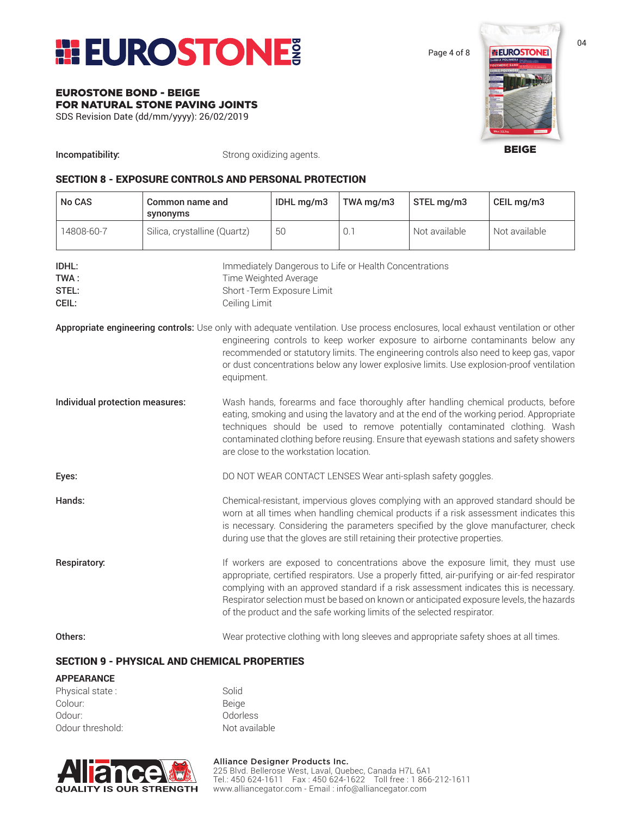

Page 4 of 8

#### EUROSTONE BOND - BEIGE FOR NATURAL STONE PAVING JOINTS

SDS Revision Date (dd/mm/yyyy): 26/02/2019

**ELEUROSTONE** 

BEIGE

**Incompatibility:** Strong oxidizing agents.

#### SECTION 8 - EXPOSURE CONTROLS AND PERSONAL PROTECTION

| No CAS                                                                                                                           | Common name and<br>synonyms  |                                                                                                                                                                                                                                                                                                                                                                                                                                                  | IDHL mg/m3                                                                                                     | TWA mg/m3 | STEL mg/m3                                                                            | CEIL mg/m3                                                                                                                                                                                                                                                            |  |
|----------------------------------------------------------------------------------------------------------------------------------|------------------------------|--------------------------------------------------------------------------------------------------------------------------------------------------------------------------------------------------------------------------------------------------------------------------------------------------------------------------------------------------------------------------------------------------------------------------------------------------|----------------------------------------------------------------------------------------------------------------|-----------|---------------------------------------------------------------------------------------|-----------------------------------------------------------------------------------------------------------------------------------------------------------------------------------------------------------------------------------------------------------------------|--|
| 14808-60-7                                                                                                                       | Silica, crystalline (Quartz) |                                                                                                                                                                                                                                                                                                                                                                                                                                                  | 50                                                                                                             | 0.1       | Not available                                                                         | Not available                                                                                                                                                                                                                                                         |  |
| IDHL:<br>TWA:<br>STEL:<br>CEIL:                                                                                                  |                              | Ceiling Limit                                                                                                                                                                                                                                                                                                                                                                                                                                    | Immediately Dangerous to Life or Health Concentrations<br>Time Weighted Average<br>Short - Term Exposure Limit |           |                                                                                       |                                                                                                                                                                                                                                                                       |  |
| Appropriate engineering controls: Use only with adequate ventilation. Use process enclosures, local exhaust ventilation or other |                              | equipment.                                                                                                                                                                                                                                                                                                                                                                                                                                       |                                                                                                                |           |                                                                                       | engineering controls to keep worker exposure to airborne contaminants below any<br>recommended or statutory limits. The engineering controls also need to keep gas, vapor<br>or dust concentrations below any lower explosive limits. Use explosion-proof ventilation |  |
| Individual protection measures:                                                                                                  |                              | Wash hands, forearms and face thoroughly after handling chemical products, before<br>eating, smoking and using the lavatory and at the end of the working period. Appropriate<br>techniques should be used to remove potentially contaminated clothing. Wash<br>contaminated clothing before reusing. Ensure that eyewash stations and safety showers<br>are close to the workstation location.                                                  |                                                                                                                |           |                                                                                       |                                                                                                                                                                                                                                                                       |  |
| Eyes:                                                                                                                            |                              | DO NOT WEAR CONTACT LENSES Wear anti-splash safety goggles.                                                                                                                                                                                                                                                                                                                                                                                      |                                                                                                                |           |                                                                                       |                                                                                                                                                                                                                                                                       |  |
| Hands:                                                                                                                           |                              | Chemical-resistant, impervious gloves complying with an approved standard should be<br>worn at all times when handling chemical products if a risk assessment indicates this<br>is necessary. Considering the parameters specified by the glove manufacturer, check<br>during use that the gloves are still retaining their protective properties.                                                                                               |                                                                                                                |           |                                                                                       |                                                                                                                                                                                                                                                                       |  |
| Respiratory:                                                                                                                     |                              | If workers are exposed to concentrations above the exposure limit, they must use<br>appropriate, certified respirators. Use a properly fitted, air-purifying or air-fed respirator<br>complying with an approved standard if a risk assessment indicates this is necessary.<br>Respirator selection must be based on known or anticipated exposure levels, the hazards<br>of the product and the safe working limits of the selected respirator. |                                                                                                                |           |                                                                                       |                                                                                                                                                                                                                                                                       |  |
| Others:                                                                                                                          |                              |                                                                                                                                                                                                                                                                                                                                                                                                                                                  |                                                                                                                |           | Wear protective clothing with long sleeves and appropriate safety shoes at all times. |                                                                                                                                                                                                                                                                       |  |

#### SECTION 9 - PHYSICAL AND CHEMICAL PROPERTIES

#### **APPEARANCE** Physical state : Solid Colour: Beige Odour: 0docless Odour threshold: Not available

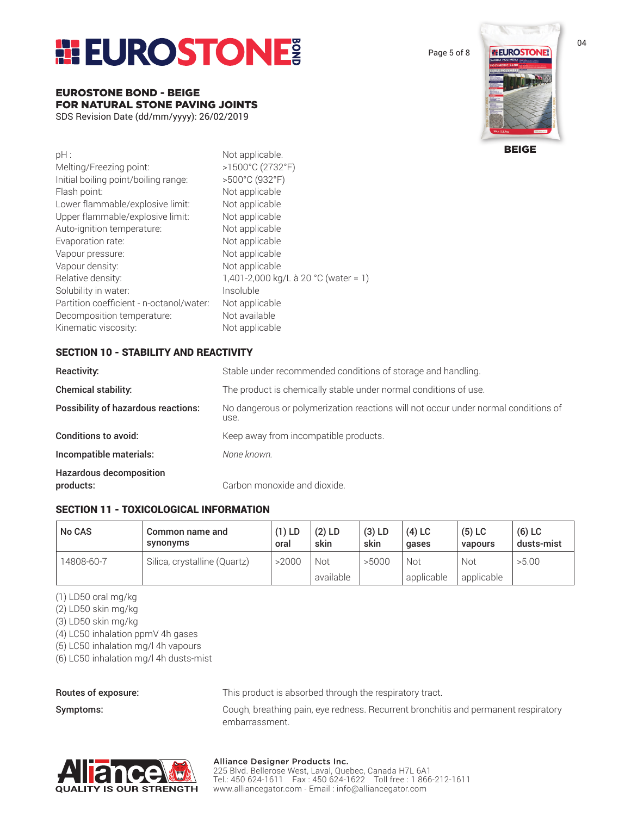## **EUROSTONE**

EUROSTONE BOND - BEIGE FOR NATURAL STONE PAVING JOINTS SDS Revision Date (dd/mm/yyyy): 26/02/2019

| $pH$ :                                   | Not applicable.                      |
|------------------------------------------|--------------------------------------|
| Melting/Freezing point:                  | >1500°C (2732°F)                     |
| Initial boiling point/boiling range:     | >500°C (932°F)                       |
| Flash point:                             | Not applicable                       |
| Lower flammable/explosive limit:         | Not applicable                       |
| Upper flammable/explosive limit:         | Not applicable                       |
| Auto-ignition temperature:               | Not applicable                       |
| Evaporation rate:                        | Not applicable                       |
| Vapour pressure:                         | Not applicable                       |
| Vapour density:                          | Not applicable                       |
| Relative density:                        | 1,401-2,000 kg/L à 20 °C (water = 1) |
| Solubility in water:                     | Insoluble                            |
| Partition coefficient - n-octanol/water: | Not applicable                       |
| Decomposition temperature:               | Not available                        |
| Kinematic viscosity:                     | Not applicable                       |

#### SECTION 10 - STABILITY AND REACTIVITY

| Reactivity:                                 | Stable under recommended conditions of storage and handling.                               |
|---------------------------------------------|--------------------------------------------------------------------------------------------|
| <b>Chemical stability:</b>                  | The product is chemically stable under normal conditions of use.                           |
| <b>Possibility of hazardous reactions:</b>  | No dangerous or polymerization reactions will not occur under normal conditions of<br>use. |
| <b>Conditions to avoid:</b>                 | Keep away from incompatible products.                                                      |
| Incompatible materials:                     | None known.                                                                                |
| <b>Hazardous decomposition</b><br>products: | Carbon monoxide and dioxide.                                                               |

#### SECTION 11 - TOXICOLOGICAL INFORMATION

| <b>No CAS</b> | Common name and<br>synonyms  | $(1)$ LD<br>oral | $(2)$ LD<br>skin | $(3)$ LD<br>skin | $(4)$ LC<br>gases | $(5)$ LC<br>vapours | $(6)$ LC<br>dusts-mist |
|---------------|------------------------------|------------------|------------------|------------------|-------------------|---------------------|------------------------|
| 14808-60-7    | Silica, crystalline (Quartz) | >2000            | Not              | >5000            | Not               | Not                 | >5.00                  |
|               |                              |                  | available        |                  | applicable        | applicable          |                        |

(1) LD50 oral mg/kg

(2) LD50 skin mg/kg

(3) LD50 skin mg/kg

(4) LC50 inhalation ppmV 4h gases

(5) LC50 inhalation mg/l 4h vapours

(6) LC50 inhalation mg/l 4h dusts-mist

Routes of exposure: This product is absorbed through the respiratory tract.

Symptoms: **Symptoms:** Cough, breathing pain, eye redness. Recurrent bronchitis and permanent respiratory embarrassment.



#### Alliance Designer Products Inc.

225 Blvd. Bellerose West, Laval, Quebec, Canada H7L 6A1 Tel.: 450 624-1611 Fax : 450 624-1622 Toll free : 1 866-212-1611 www.alliancegator.com - Email : info@alliancegator.com

Page 5 of 8



04

BEIGE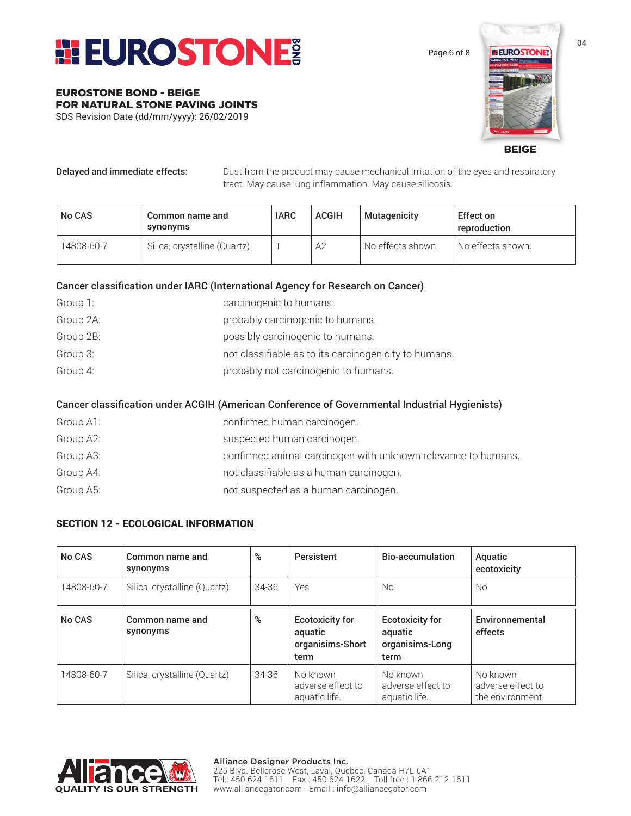

Page 6 of 8

# **ELIROSTONE**

BEIGE

EUROSTONE BOND - BEIGE

FOR NATURAL STONE PAVING JOINTS SDS Revision Date (dd/mm/yyyy): 26/02/2019

Delayed and immediate effects: Dust from the product may cause mechanical irritation of the eyes and respiratory tract. May cause lung inflammation. May cause silicosis.

| <b>No CAS</b> | Common name and<br>synonyms  | <b>IARC</b> | <b>ACGIH</b>   | <b>Mutagenicity</b> | Effect on<br>reproduction |
|---------------|------------------------------|-------------|----------------|---------------------|---------------------------|
| 14808-60-7    | Silica, crystalline (Quartz) |             | A <sub>2</sub> | No effects shown.   | No effects shown.         |

#### Cancer classification under IARC (International Agency for Research on Cancer)

| Group 1:  | carcinogenic to humans.                               |
|-----------|-------------------------------------------------------|
| Group 2A: | probably carcinogenic to humans.                      |
| Group 2B: | possibly carcinogenic to humans.                      |
| Group 3:  | not classifiable as to its carcinogenicity to humans. |
| Group 4:  | probably not carcinogenic to humans.                  |

#### Cancer classification under ACGIH (American Conference of Governmental Industrial Hygienists)

| Group A1: | confirmed human carcinogen.                                   |
|-----------|---------------------------------------------------------------|
| Group A2: | suspected human carcinogen.                                   |
| Group A3: | confirmed animal carcinogen with unknown relevance to humans. |
| Group A4: | not classifiable as a human carcinogen.                       |
| Group A5: | not suspected as a human carcinogen.                          |

#### SECTION 12 - ECOLOGICAL INFORMATION

| No CAS     | Common name and<br>synonyms  | %         | Persistent                                                    | Bio-accumulation                                             | Aquatic<br>ecotoxicity                            |
|------------|------------------------------|-----------|---------------------------------------------------------------|--------------------------------------------------------------|---------------------------------------------------|
| 14808-60-7 | Silica, crystalline (Quartz) | $34 - 36$ | Yes                                                           | No.                                                          | No.                                               |
| No CAS     | Common name and<br>synonyms  | %         | <b>Ecotoxicity for</b><br>aquatic<br>organisims-Short<br>term | <b>Ecotoxicity for</b><br>aquatic<br>organisims-Long<br>term | Environnemental<br>effects                        |
| 14808-60-7 | Silica, crystalline (Quartz) | $34 - 36$ | No known<br>adverse effect to<br>aquatic life.                | No known<br>adverse effect to<br>aquatic life.               | No known<br>adverse effect to<br>the environment. |

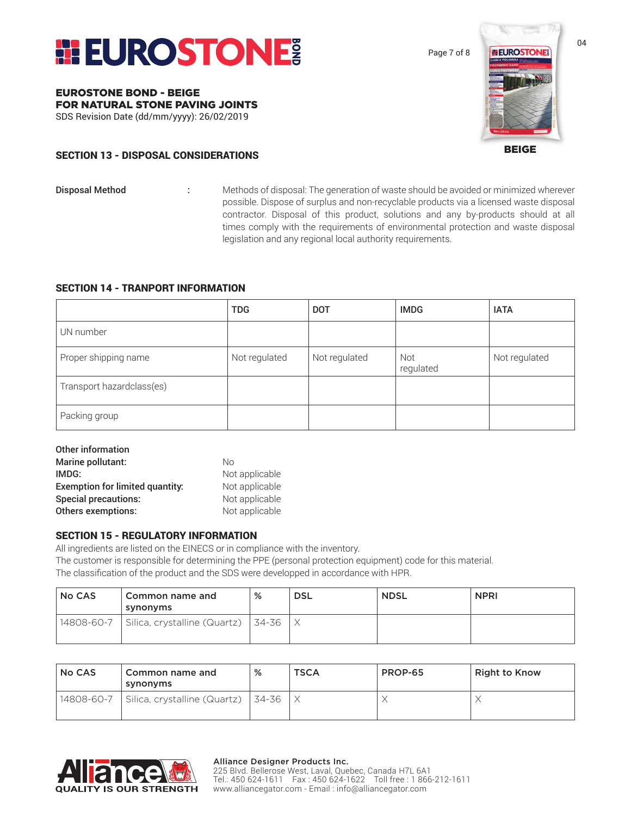

Page 7 of 8



BEIGE

#### SECTION 13 - DISPOSAL CONSIDERATIONS

FOR NATURAL STONE PAVING JOINTS SDS Revision Date (dd/mm/yyyy): 26/02/2019

EUROSTONE BOND - BEIGE

- 
- **Disposal Method :** Methods of disposal: The generation of waste should be avoided or minimized wherever possible. Dispose of surplus and non-recyclable products via a licensed waste disposal contractor. Disposal of this product, solutions and any by-products should at all times comply with the requirements of environmental protection and waste disposal legislation and any regional local authority requirements.

#### SECTION 14 - TRANPORT INFORMATION

|                           | <b>TDG</b>    | <b>DOT</b>    | <b>IMDG</b>      | <b>IATA</b>   |
|---------------------------|---------------|---------------|------------------|---------------|
| UN number                 |               |               |                  |               |
| Proper shipping name      | Not regulated | Not regulated | Not<br>regulated | Not regulated |
| Transport hazardclass(es) |               |               |                  |               |
| Packing group             |               |               |                  |               |

| Other information                      |                |
|----------------------------------------|----------------|
| Marine pollutant:                      | Nο             |
| IMDG:                                  | Not applicable |
| <b>Exemption for limited quantity:</b> | Not applicable |
| <b>Special precautions:</b>            | Not applicable |
| <b>Others exemptions:</b>              | Not applicable |

#### SECTION 15 - REGULATORY INFORMATION

All ingredients are listed on the EINECS or in compliance with the inventory. The customer is responsible for determining the PPE (personal protection equipment) code for this material. The classification of the product and the SDS were developped in accordance with HPR.

| <b>No CAS</b> | Common name and<br>synonyms  | %     | <b>DSL</b> | <b>NDSL</b> | <b>NPRI</b> |
|---------------|------------------------------|-------|------------|-------------|-------------|
| 14808-60-7    | Silica, crystalline (Quartz) | 34-36 |            |             |             |

| <b>No CAS</b> | Common name and<br>synonyms               | %     | <b>TSCA</b> | PROP-65 | <b>Right to Know</b> |
|---------------|-------------------------------------------|-------|-------------|---------|----------------------|
|               | 14808-60-7   Silica, crystalline (Quartz) | 34-36 |             |         |                      |